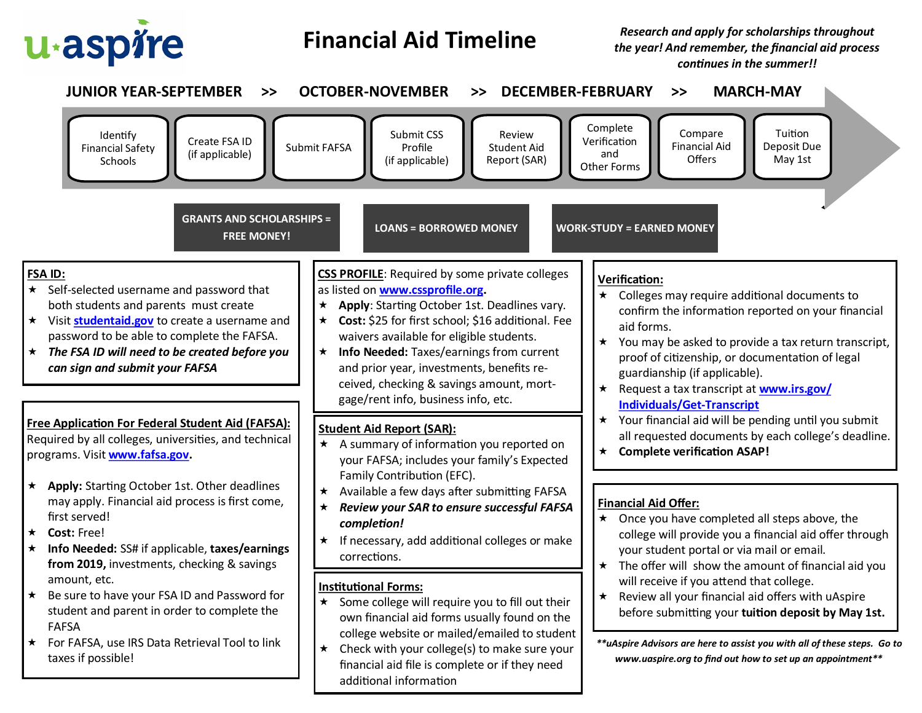

## **Financial Aid Timeline**

*Research and apply for scholarships throughout the year! And remember, the financial aid process continues in the summer!!*